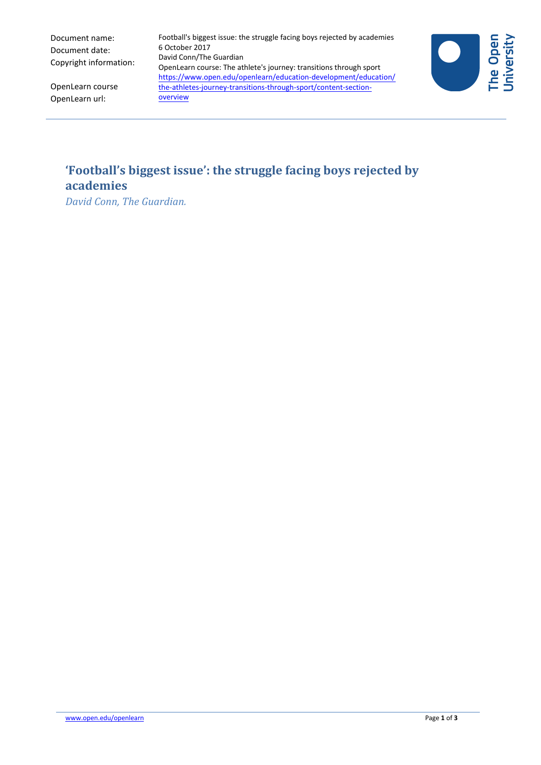Document name: Document date: Copyright information:

OpenLearn url:

OpenLearn course David Conn/The Guardian OpenLearn course: The athlete's journey: transitions through sport [https://www.open.edu/openlearn/education-development/education/](https://www.open.edu/openlearn/education-development/education/the-athletes-journey-transitions-through-sport/content-section-overview) the-athletes-journey-transitions-through-sport/content-sectionoverview

6 October 2017



## **'Football's biggest issue': the struggle facing boys rejected by academies**

Football's biggest issue: the struggle facing boys rejected by academies

*David Conn, The Guardian.*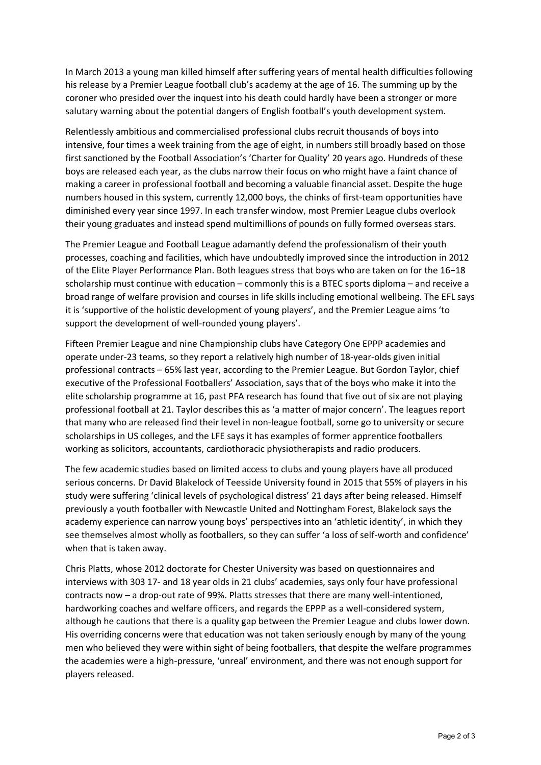In March 2013 a young man killed himself after suffering years of mental health difficulties following his release by a Premier League football club's academy at the age of 16. The summing up by the coroner who presided over the inquest into his death could hardly have been a stronger or more salutary warning about the potential dangers of English football's youth development system.

Relentlessly ambitious and commercialised professional clubs recruit thousands of boys into intensive, four times a week training from the age of eight, in numbers still broadly based on those first sanctioned by the Football Association's 'Charter for Quality' 20 years ago. Hundreds of these boys are released each year, as the clubs narrow their focus on who might have a faint chance of making a career in professional football and becoming a valuable financial asset. Despite the huge numbers housed in this system, currently 12,000 boys, the chinks of first-team opportunities have diminished every year since 1997. In each transfer window, most Premier League clubs overlook their young graduates and instead spend multimillions of pounds on fully formed overseas stars.

The Premier League and Football League adamantly defend the professionalism of their youth processes, coaching and facilities, which have undoubtedly improved since the introduction in 2012 of the Elite Player Performance Plan. Both leagues stress that boys who are taken on for the 16−18 scholarship must continue with education – commonly this is a BTEC sports diploma – and receive a broad range of welfare provision and courses in life skills including emotional wellbeing. The EFL says it is 'supportive of the holistic development of young players', and the Premier League aims 'to support the development of well-rounded young players'.

Fifteen Premier League and nine Championship clubs have Category One EPPP academies and operate under-23 teams, so they report a relatively high number of 18-year-olds given initial professional contracts – 65% last year, according to the Premier League. But Gordon Taylor, chief executive of the Professional Footballers' Association, says that of the boys who make it into the elite scholarship programme at 16, past PFA research has found that five out of six are not playing professional football at 21. Taylor describes this as 'a matter of major concern'. The leagues report that many who are released find their level in non-league football, some go to university or secure scholarships in US colleges, and the LFE says it has examples of former apprentice footballers working as solicitors, accountants, cardiothoracic physiotherapists and radio producers.

The few academic studies based on limited access to clubs and young players have all produced serious concerns. Dr David Blakelock of Teesside University found in 2015 that 55% of players in his study were suffering 'clinical levels of psychological distress' 21 days after being released. Himself previously a youth footballer with Newcastle United and Nottingham Forest, Blakelock says the academy experience can narrow young boys' perspectives into an 'athletic identity', in which they see themselves almost wholly as footballers, so they can suffer 'a loss of self-worth and confidence' when that is taken away.

Chris Platts, whose 2012 doctorate for Chester University was based on questionnaires and interviews with 303 17- and 18 year olds in 21 clubs' academies, says only four have professional contracts now – a drop-out rate of 99%. Platts stresses that there are many well-intentioned, hardworking coaches and welfare officers, and regards the EPPP as a well-considered system, although he cautions that there is a quality gap between the Premier League and clubs lower down. His overriding concerns were that education was not taken seriously enough by many of the young men who believed they were within sight of being footballers, that despite the welfare programmes the academies were a high-pressure, 'unreal' environment, and there was not enough support for players released.